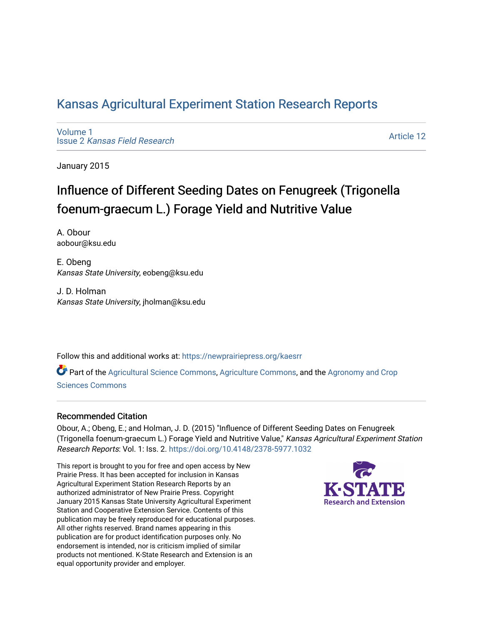# [Kansas Agricultural Experiment Station Research Reports](https://newprairiepress.org/kaesrr)

[Volume 1](https://newprairiepress.org/kaesrr/vol1) Issue 2 [Kansas Field Research](https://newprairiepress.org/kaesrr/vol1/iss2) 

[Article 12](https://newprairiepress.org/kaesrr/vol1/iss2/12) 

January 2015

# Influence of Different Seeding Dates on Fenugreek (Trigonella foenum-graecum L.) Forage Yield and Nutritive Value

A. Obour aobour@ksu.edu

E. Obeng Kansas State University, eobeng@ksu.edu

J. D. Holman Kansas State University, jholman@ksu.edu

Follow this and additional works at: [https://newprairiepress.org/kaesrr](https://newprairiepress.org/kaesrr?utm_source=newprairiepress.org%2Fkaesrr%2Fvol1%2Fiss2%2F12&utm_medium=PDF&utm_campaign=PDFCoverPages) 

Part of the [Agricultural Science Commons](http://network.bepress.com/hgg/discipline/1063?utm_source=newprairiepress.org%2Fkaesrr%2Fvol1%2Fiss2%2F12&utm_medium=PDF&utm_campaign=PDFCoverPages), [Agriculture Commons,](http://network.bepress.com/hgg/discipline/1076?utm_source=newprairiepress.org%2Fkaesrr%2Fvol1%2Fiss2%2F12&utm_medium=PDF&utm_campaign=PDFCoverPages) and the [Agronomy and Crop](http://network.bepress.com/hgg/discipline/103?utm_source=newprairiepress.org%2Fkaesrr%2Fvol1%2Fiss2%2F12&utm_medium=PDF&utm_campaign=PDFCoverPages) [Sciences Commons](http://network.bepress.com/hgg/discipline/103?utm_source=newprairiepress.org%2Fkaesrr%2Fvol1%2Fiss2%2F12&utm_medium=PDF&utm_campaign=PDFCoverPages) 

#### Recommended Citation

Obour, A.; Obeng, E.; and Holman, J. D. (2015) "Influence of Different Seeding Dates on Fenugreek (Trigonella foenum-graecum L.) Forage Yield and Nutritive Value," Kansas Agricultural Experiment Station Research Reports: Vol. 1: Iss. 2.<https://doi.org/10.4148/2378-5977.1032>

This report is brought to you for free and open access by New Prairie Press. It has been accepted for inclusion in Kansas Agricultural Experiment Station Research Reports by an authorized administrator of New Prairie Press. Copyright January 2015 Kansas State University Agricultural Experiment Station and Cooperative Extension Service. Contents of this publication may be freely reproduced for educational purposes. All other rights reserved. Brand names appearing in this publication are for product identification purposes only. No endorsement is intended, nor is criticism implied of similar products not mentioned. K-State Research and Extension is an equal opportunity provider and employer.

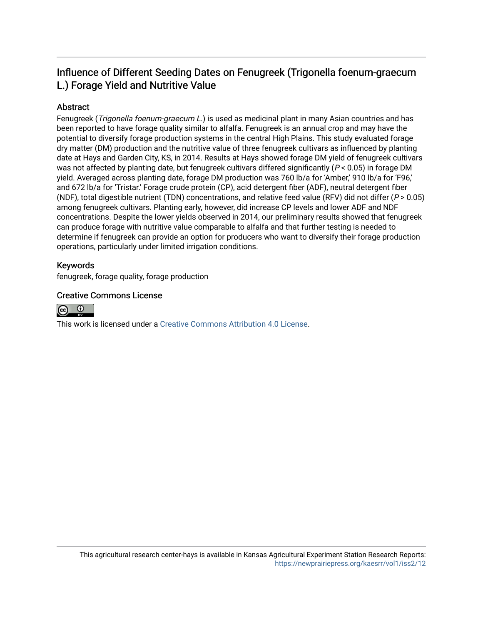# Influence of Different Seeding Dates on Fenugreek (Trigonella foenum-graecum L.) Forage Yield and Nutritive Value

### Abstract

Fenugreek (Trigonella foenum-graecum L.) is used as medicinal plant in many Asian countries and has been reported to have forage quality similar to alfalfa. Fenugreek is an annual crop and may have the potential to diversify forage production systems in the central High Plains. This study evaluated forage dry matter (DM) production and the nutritive value of three fenugreek cultivars as influenced by planting date at Hays and Garden City, KS, in 2014. Results at Hays showed forage DM yield of fenugreek cultivars was not affected by planting date, but fenugreek cultivars differed significantly ( $P < 0.05$ ) in forage DM yield. Averaged across planting date, forage DM production was 760 lb/a for 'Amber,' 910 lb/a for 'F96,' and 672 lb/a for 'Tristar.' Forage crude protein (CP), acid detergent fiber (ADF), neutral detergent fiber (NDF), total digestible nutrient (TDN) concentrations, and relative feed value (RFV) did not differ ( $P > 0.05$ ) among fenugreek cultivars. Planting early, however, did increase CP levels and lower ADF and NDF concentrations. Despite the lower yields observed in 2014, our preliminary results showed that fenugreek can produce forage with nutritive value comparable to alfalfa and that further testing is needed to determine if fenugreek can provide an option for producers who want to diversify their forage production operations, particularly under limited irrigation conditions.

#### Keywords

fenugreek, forage quality, forage production

#### Creative Commons License



This work is licensed under a [Creative Commons Attribution 4.0 License](https://creativecommons.org/licenses/by/4.0/).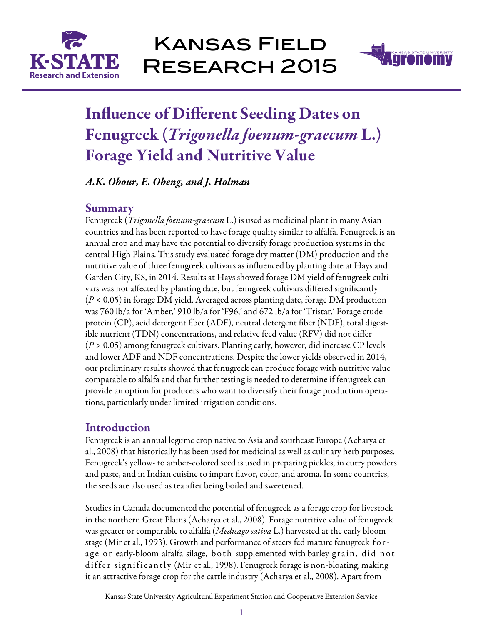



# Influence of Different Seeding Dates on Fenugreek (*Trigonella foenum-graecum* L.) Forage Yield and Nutritive Value

*A.K. Obour, E. Obeng, and J. Holman* 

# Summary

Fenugreek (*Trigonella foenum-graecum* L.) is used as medicinal plant in many Asian countries and has been reported to have forage quality similar to alfalfa. Fenugreek is an annual crop and may have the potential to diversify forage production systems in the central High Plains. This study evaluated forage dry matter (DM) production and the nutritive value of three fenugreek cultivars as influenced by planting date at Hays and Garden City, KS, in 2014. Results at Hays showed forage DM yield of fenugreek cultivars was not affected by planting date, but fenugreek cultivars differed significantly (*P* < 0.05) in forage DM yield. Averaged across planting date, forage DM production was 760 lb/a for 'Amber,' 910 lb/a for 'F96,' and 672 lb/a for 'Tristar.' Forage crude protein (CP), acid detergent fiber (ADF), neutral detergent fiber (NDF), total digestible nutrient (TDN) concentrations, and relative feed value (RFV) did not differ (*P* > 0.05) among fenugreek cultivars. Planting early, however, did increase CP levels and lower ADF and NDF concentrations. Despite the lower yields observed in 2014, our preliminary results showed that fenugreek can produce forage with nutritive value comparable to alfalfa and that further testing is needed to determine if fenugreek can provide an option for producers who want to diversify their forage production operations, particularly under limited irrigation conditions.

# **Introduction**

Fenugreek is an annual legume crop native to Asia and southeast Europe (Acharya et al., 2008) that historically has been used for medicinal as well as culinary herb purposes. Fenugreek's yellow- to amber-colored seed is used in preparing pickles, in curry powders and paste, and in Indian cuisine to impart flavor, color, and aroma. In some countries, the seeds are also used as tea after being boiled and sweetened.

Studies in Canada documented the potential of fenugreek as a forage crop for livestock in the northern Great Plains (Acharya et al., 2008). Forage nutritive value of fenugreek was greater or comparable to alfalfa (*Medicago sativa* L.) harvested at the early bloom stage (Mir et al., 1993). Growth and performance of steers fed mature fenugreek forage or early-bloom alfalfa silage, both supplemented with barley grain, did not differ significantly (Mir et al., 1998). Fenugreek forage is non-bloating, making it an attractive forage crop for the cattle industry (Acharya et al., 2008). Apart from

Kansas State University Agricultural Experiment Station and Cooperative Extension Service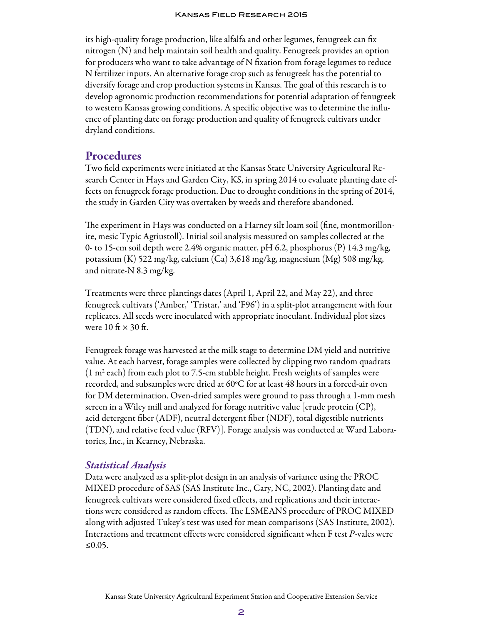#### Kansas Field Research 2015

its high-quality forage production, like alfalfa and other legumes, fenugreek can fix nitrogen (N) and help maintain soil health and quality. Fenugreek provides an option for producers who want to take advantage of N fixation from forage legumes to reduce N fertilizer inputs. An alternative forage crop such as fenugreek has the potential to diversify forage and crop production systems in Kansas. The goal of this research is to develop agronomic production recommendations for potential adaptation of fenugreek to western Kansas growing conditions. A specific objective was to determine the influence of planting date on forage production and quality of fenugreek cultivars under dryland conditions.

#### Procedures

Two field experiments were initiated at the Kansas State University Agricultural Research Center in Hays and Garden City, KS, in spring 2014 to evaluate planting date effects on fenugreek forage production. Due to drought conditions in the spring of 2014, the study in Garden City was overtaken by weeds and therefore abandoned.

The experiment in Hays was conducted on a Harney silt loam soil (fine, montmorillonite, mesic Typic Agriustoll). Initial soil analysis measured on samples collected at the 0- to 15-cm soil depth were 2.4% organic matter, pH 6.2, phosphorus (P) 14.3 mg/kg, potassium (K) 522 mg/kg, calcium (Ca) 3,618 mg/kg, magnesium (Mg) 508 mg/kg, and nitrate-N 8.3 mg/kg.

Treatments were three plantings dates (April 1, April 22, and May 22), and three fenugreek cultivars ('Amber,' 'Tristar,' and 'F96') in a split-plot arrangement with four replicates. All seeds were inoculated with appropriate inoculant. Individual plot sizes were  $10 \text{ ft} \times 30 \text{ ft}$ .

Fenugreek forage was harvested at the milk stage to determine DM yield and nutritive value. At each harvest, forage samples were collected by clipping two random quadrats  $(1 \text{ m}^2 \text{ each})$  from each plot to 7.5-cm stubble height. Fresh weights of samples were recorded, and subsamples were dried at 60°C for at least 48 hours in a forced-air oven for DM determination. Oven-dried samples were ground to pass through a 1-mm mesh screen in a Wiley mill and analyzed for forage nutritive value [crude protein (CP), acid detergent fiber (ADF), neutral detergent fiber (NDF), total digestible nutrients (TDN), and relative feed value (RFV)]. Forage analysis was conducted at Ward Laboratories, Inc., in Kearney, Nebraska.

#### *Statistical Analysis*

Data were analyzed as a split-plot design in an analysis of variance using the PROC MIXED procedure of SAS (SAS Institute Inc., Cary, NC, 2002). Planting date and fenugreek cultivars were considered fixed effects, and replications and their interactions were considered as random effects. The LSMEANS procedure of PROC MIXED along with adjusted Tukey's test was used for mean comparisons (SAS Institute, 2002). Interactions and treatment effects were considered significant when F test *P*-vales were ≤0.05.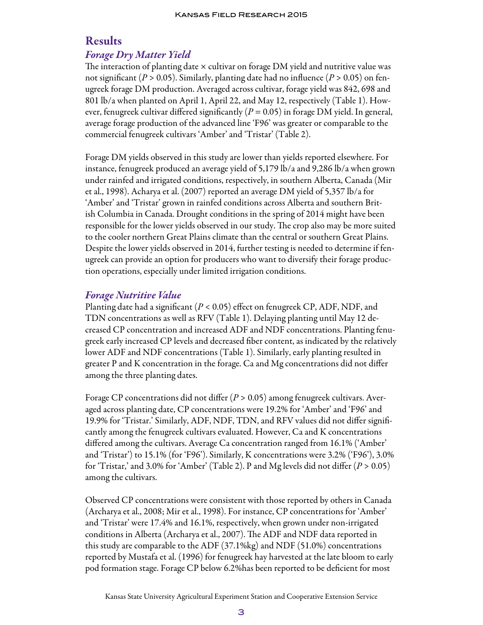# Results

# *Forage Dry Matter Yield*

The interaction of planting date  $\times$  cultivar on forage DM yield and nutritive value was not significant (*P* > 0.05). Similarly, planting date had no influence (*P* > 0.05) on fenugreek forage DM production. Averaged across cultivar, forage yield was 842, 698 and 801 lb/a when planted on April 1, April 22, and May 12, respectively (Table 1). However, fenugreek cultivar differed significantly (*P* = 0.05) in forage DM yield. In general, average forage production of the advanced line 'F96' was greater or comparable to the commercial fenugreek cultivars 'Amber' and 'Tristar' (Table 2).

Forage DM yields observed in this study are lower than yields reported elsewhere. For instance, fenugreek produced an average yield of 5,179 lb/a and 9,286 lb/a when grown under rainfed and irrigated conditions, respectively, in southern Alberta, Canada (Mir et al., 1998). Acharya et al. (2007) reported an average DM yield of 5,357 lb/a for 'Amber' and 'Tristar' grown in rainfed conditions across Alberta and southern British Columbia in Canada. Drought conditions in the spring of 2014 might have been responsible for the lower yields observed in our study. The crop also may be more suited to the cooler northern Great Plains climate than the central or southern Great Plains. Despite the lower yields observed in 2014, further testing is needed to determine if fenugreek can provide an option for producers who want to diversify their forage production operations, especially under limited irrigation conditions.

# *Forage Nutritive Value*

Planting date had a significant (*P* < 0.05) effect on fenugreek CP, ADF, NDF, and TDN concentrations as well as RFV (Table 1). Delaying planting until May 12 decreased CP concentration and increased ADF and NDF concentrations. Planting fenugreek early increased CP levels and decreased fiber content, as indicated by the relatively lower ADF and NDF concentrations (Table 1). Similarly, early planting resulted in greater P and K concentration in the forage. Ca and Mg concentrations did not differ among the three planting dates.

Forage CP concentrations did not differ (*P* > 0.05) among fenugreek cultivars. Averaged across planting date, CP concentrations were 19.2% for 'Amber' and 'F96' and 19.9% for 'Tristar.' Similarly, ADF, NDF, TDN, and RFV values did not differ significantly among the fenugreek cultivars evaluated. However, Ca and K concentrations differed among the cultivars. Average Ca concentration ranged from 16.1% ('Amber' and 'Tristar') to 15.1% (for 'F96'). Similarly, K concentrations were 3.2% ('F96'), 3.0% for 'Tristar,' and 3.0% for 'Amber' (Table 2). P and Mg levels did not differ  $(P > 0.05)$ among the cultivars.

Observed CP concentrations were consistent with those reported by others in Canada (Archarya et al., 2008; Mir et al., 1998). For instance, CP concentrations for 'Amber' and 'Tristar' were 17.4% and 16.1%, respectively, when grown under non-irrigated conditions in Alberta (Archarya et al., 2007). The ADF and NDF data reported in this study are comparable to the ADF (37.1%kg) and NDF (51.0%) concentrations reported by Mustafa et al. (1996) for fenugreek hay harvested at the late bloom to early pod formation stage. Forage CP below 6.2%has been reported to be deficient for most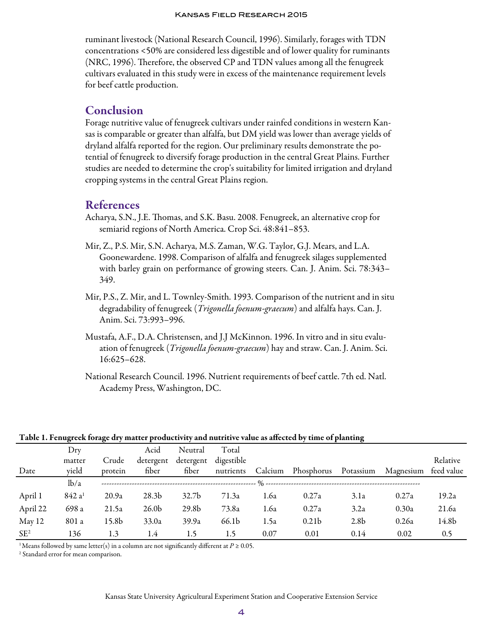ruminant livestock (National Research Council, 1996). Similarly, forages with TDN concentrations <50% are considered less digestible and of lower quality for ruminants (NRC, 1996). Therefore, the observed CP and TDN values among all the fenugreek cultivars evaluated in this study were in excess of the maintenance requirement levels for beef cattle production.

## Conclusion

Forage nutritive value of fenugreek cultivars under rainfed conditions in western Kansas is comparable or greater than alfalfa, but DM yield was lower than average yields of dryland alfalfa reported for the region. Our preliminary results demonstrate the potential of fenugreek to diversify forage production in the central Great Plains. Further studies are needed to determine the crop's suitability for limited irrigation and dryland cropping systems in the central Great Plains region.

# References

- Acharya, S.N., J.E. Thomas, and S.K. Basu. 2008. Fenugreek, an alternative crop for semiarid regions of North America. Crop Sci. 48:841–853.
- Mir, Z., P.S. Mir, S.N. Acharya, M.S. Zaman, W.G. Taylor, G.J. Mears, and L.A. Goonewardene. 1998. Comparison of alfalfa and fenugreek silages supplemented with barley grain on performance of growing steers. Can. J. Anim. Sci. 78:343– 349.
- Mir, P.S., Z. Mir, and L. Townley-Smith. 1993. Comparison of the nutrient and in situ degradability of fenugreek (*Trigonella foenum-graecum*) and alfalfa hays. Can. J. Anim. Sci. 73:993–996.
- Mustafa, A.F., D.A. Christensen, and J.J McKinnon. 1996. In vitro and in situ evaluation of fenugreek (*Trigonella foenum-graecum*) hay and straw. Can. J. Anim. Sci. 16:625–628.
- National Research Council. 1996. Nutrient requirements of beef cattle. 7th ed. Natl. Academy Press, Washington, DC.

Table 1. Fenugreek forage dry matter productivity and nutritive value as affected by time of planting

|                 | ັ                  |         |                   |                   |            |         |                                    | $\cdot$          |           |            |
|-----------------|--------------------|---------|-------------------|-------------------|------------|---------|------------------------------------|------------------|-----------|------------|
|                 | Drv                |         | Acid              | Neutral           | Total      |         |                                    |                  |           |            |
|                 | matter             | Crude   | detergent         | detergent         | digestible |         |                                    |                  |           | Relative   |
| Date            | yield              | protein | fiber             | fiber             | nutrients  | Calcium | Phosphorus                         | Potassium        | Magnesium | feed value |
|                 | lb/a               |         |                   |                   |            |         | . % ------------------------------ |                  |           |            |
| April 1         | 842 a <sup>1</sup> | 20.9a   | 28.3 <sub>b</sub> | 32.7 <sub>b</sub> | 71.3a      | 1.6a    | 0.27a                              | 3.1a             | 0.27a     | 19.2a      |
| April 22        | 698 a              | 21.5a   | 26.0 <sub>b</sub> | 29.8 <sub>b</sub> | 73.8a      | 1.6a    | 0.27a                              | 3.2a             | 0.30a     | 21.6a      |
| May 12          | 801 a              | 15.8b   | 33.0a             | 39.9a             | 66.1b      | 1.5a    | 0.21 <sub>b</sub>                  | 2.8 <sub>b</sub> | 0.26a     | 14.8b      |
| SE <sup>2</sup> | 136                | 1.3     | 1.4               | 1.5               | 1.5        | 0.07    | 0.01                               | 0.14             | 0.02      | 0.5        |

<sup>1</sup> Means followed by same letter(s) in a column are not significantly different at  $P \ge 0.05$ .

<sup>2</sup> Standard error for mean comparison.